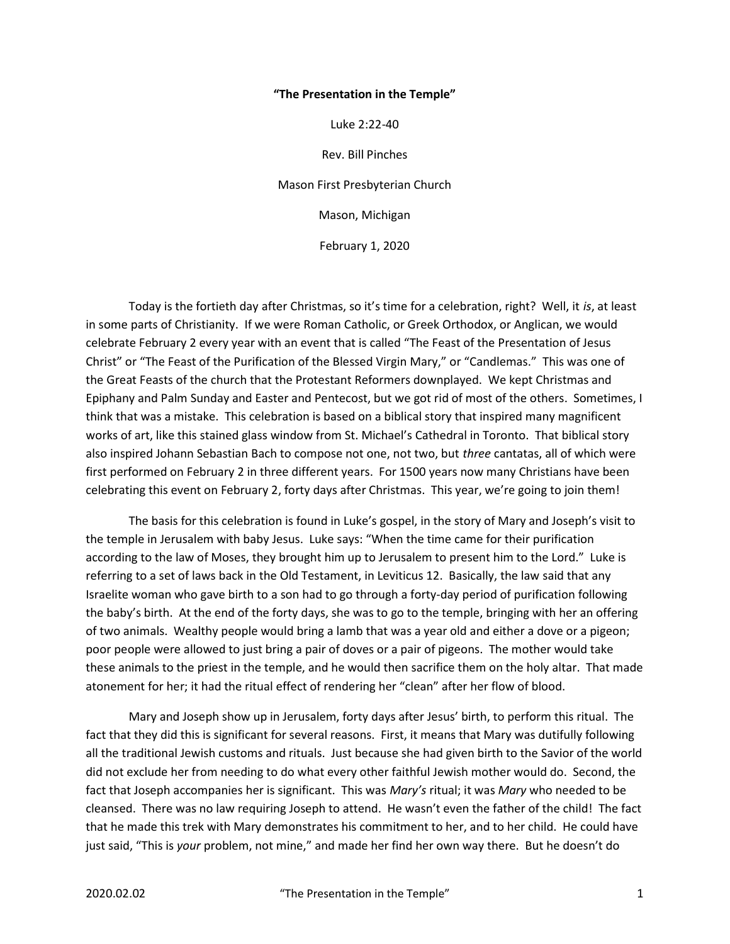## "The Presentation in the Temple"

Luke 2:22-40

Rev. Bill Pinches Mason First Presbyterian Church Mason, Michigan February 1, 2020

Today is the fortieth day after Christmas, so it's time for a celebration, right? Well, it is, at least in some parts of Christianity. If we were Roman Catholic, or Greek Orthodox, or Anglican, we would celebrate February 2 every year with an event that is called "The Feast of the Presentation of Jesus Christ" or "The Feast of the Purification of the Blessed Virgin Mary," or "Candlemas." This was one of the Great Feasts of the church that the Protestant Reformers downplayed. We kept Christmas and Epiphany and Palm Sunday and Easter and Pentecost, but we got rid of most of the others. Sometimes, I think that was a mistake. This celebration is based on a biblical story that inspired many magnificent works of art, like this stained glass window from St. Michael's Cathedral in Toronto. That biblical story also inspired Johann Sebastian Bach to compose not one, not two, but three cantatas, all of which were first performed on February 2 in three different years. For 1500 years now many Christians have been celebrating this event on February 2, forty days after Christmas. This year, we're going to join them!

 The basis for this celebration is found in Luke's gospel, in the story of Mary and Joseph's visit to the temple in Jerusalem with baby Jesus. Luke says: "When the time came for their purification according to the law of Moses, they brought him up to Jerusalem to present him to the Lord." Luke is referring to a set of laws back in the Old Testament, in Leviticus 12. Basically, the law said that any Israelite woman who gave birth to a son had to go through a forty-day period of purification following the baby's birth. At the end of the forty days, she was to go to the temple, bringing with her an offering of two animals. Wealthy people would bring a lamb that was a year old and either a dove or a pigeon; poor people were allowed to just bring a pair of doves or a pair of pigeons. The mother would take these animals to the priest in the temple, and he would then sacrifice them on the holy altar. That made atonement for her; it had the ritual effect of rendering her "clean" after her flow of blood.

 Mary and Joseph show up in Jerusalem, forty days after Jesus' birth, to perform this ritual. The fact that they did this is significant for several reasons. First, it means that Mary was dutifully following all the traditional Jewish customs and rituals. Just because she had given birth to the Savior of the world did not exclude her from needing to do what every other faithful Jewish mother would do. Second, the fact that Joseph accompanies her is significant. This was Mary's ritual; it was Mary who needed to be cleansed. There was no law requiring Joseph to attend. He wasn't even the father of the child! The fact that he made this trek with Mary demonstrates his commitment to her, and to her child. He could have just said, "This is your problem, not mine," and made her find her own way there. But he doesn't do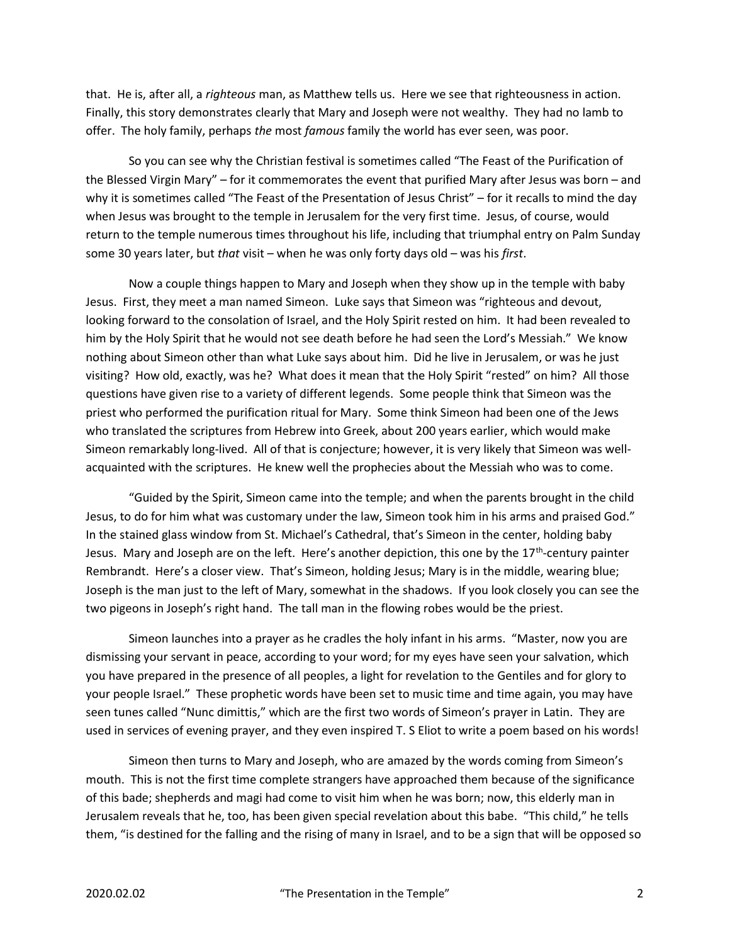that. He is, after all, a righteous man, as Matthew tells us. Here we see that righteousness in action. Finally, this story demonstrates clearly that Mary and Joseph were not wealthy. They had no lamb to offer. The holy family, perhaps the most famous family the world has ever seen, was poor.

 So you can see why the Christian festival is sometimes called "The Feast of the Purification of the Blessed Virgin Mary" – for it commemorates the event that purified Mary after Jesus was born – and why it is sometimes called "The Feast of the Presentation of Jesus Christ" – for it recalls to mind the day when Jesus was brought to the temple in Jerusalem for the very first time. Jesus, of course, would return to the temple numerous times throughout his life, including that triumphal entry on Palm Sunday some 30 years later, but that visit – when he was only forty days old – was his first.

 Now a couple things happen to Mary and Joseph when they show up in the temple with baby Jesus. First, they meet a man named Simeon. Luke says that Simeon was "righteous and devout, looking forward to the consolation of Israel, and the Holy Spirit rested on him. It had been revealed to him by the Holy Spirit that he would not see death before he had seen the Lord's Messiah." We know nothing about Simeon other than what Luke says about him. Did he live in Jerusalem, or was he just visiting? How old, exactly, was he? What does it mean that the Holy Spirit "rested" on him? All those questions have given rise to a variety of different legends. Some people think that Simeon was the priest who performed the purification ritual for Mary. Some think Simeon had been one of the Jews who translated the scriptures from Hebrew into Greek, about 200 years earlier, which would make Simeon remarkably long-lived. All of that is conjecture; however, it is very likely that Simeon was wellacquainted with the scriptures. He knew well the prophecies about the Messiah who was to come.

 "Guided by the Spirit, Simeon came into the temple; and when the parents brought in the child Jesus, to do for him what was customary under the law, Simeon took him in his arms and praised God." In the stained glass window from St. Michael's Cathedral, that's Simeon in the center, holding baby Jesus. Mary and Joseph are on the left. Here's another depiction, this one by the  $17<sup>th</sup>$ -century painter Rembrandt. Here's a closer view. That's Simeon, holding Jesus; Mary is in the middle, wearing blue; Joseph is the man just to the left of Mary, somewhat in the shadows. If you look closely you can see the two pigeons in Joseph's right hand. The tall man in the flowing robes would be the priest.

 Simeon launches into a prayer as he cradles the holy infant in his arms. "Master, now you are dismissing your servant in peace, according to your word; for my eyes have seen your salvation, which you have prepared in the presence of all peoples, a light for revelation to the Gentiles and for glory to your people Israel." These prophetic words have been set to music time and time again, you may have seen tunes called "Nunc dimittis," which are the first two words of Simeon's prayer in Latin. They are used in services of evening prayer, and they even inspired T. S Eliot to write a poem based on his words!

 Simeon then turns to Mary and Joseph, who are amazed by the words coming from Simeon's mouth. This is not the first time complete strangers have approached them because of the significance of this bade; shepherds and magi had come to visit him when he was born; now, this elderly man in Jerusalem reveals that he, too, has been given special revelation about this babe. "This child," he tells them, "is destined for the falling and the rising of many in Israel, and to be a sign that will be opposed so